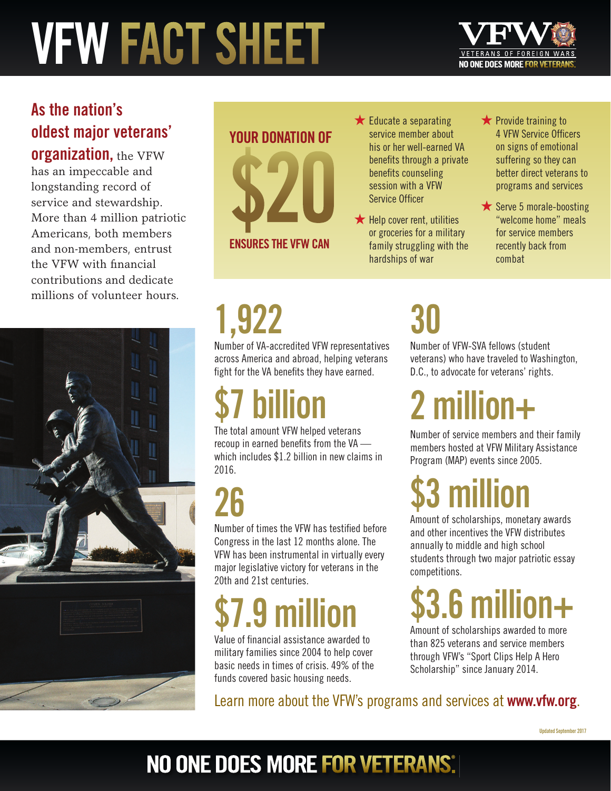# **VFW FACT SHEET**



#### **As the nation's oldest major veterans'**

**organization,** the VFW has an impeccable and longstanding record of service and stewardship. More than 4 million patriotic Americans, both members and non-members, entrust the VFW with financial contributions and dedicate millions of volunteer hours.



## **YOUR DONATION OF \$20 ENSURES THE VFW CAN**

- $\bigstar$  Educate a separating service member about his or her well-earned VA benefits through a private benefits counseling session with a VFW Service Officer
- $\bigstar$  Help cover rent, utilities or groceries for a military family struggling with the hardships of war

**★** Provide training to 4 VFW Service Officers on signs of emotional suffering so they can better direct veterans to programs and services

★ Serve 5 morale-boosting "welcome home" meals for service members recently back from combat

# **1,922**

Number of VA-accredited VFW representatives across America and abroad, helping veterans fight for the VA benefits they have earned.

# **\$7 billion**

The total amount VFW helped veterans recoup in earned benefits from the  $VA$  which includes \$1.2 billion in new claims in 2016.

### **26**

Number of times the VFW has testified before Congress in the last 12 months alone. The VFW has been instrumental in virtually every major legislative victory for veterans in the 20th and 21st centuries.

# **\$7.9 million**

Value of financial assistance awarded to military families since 2004 to help cover basic needs in times of crisis. 49% of the funds covered basic housing needs.

### **30**

Number of VFW-SVA fellows (student veterans) who have traveled to Washington, D.C., to advocate for veterans' rights.

**2 million+**

Number of service members and their family members hosted at VFW Military Assistance Program (MAP) events since 2005.

### **\$3 million**

Amount of scholarships, monetary awards and other incentives the VFW distributes annually to middle and high school students through two major patriotic essay competitions.

## **\$3.6 million+**

Amount of scholarships awarded to more than 825 veterans and service members through VFW's "Sport Clips Help A Hero Scholarship" since January 2014.

Learn more about the VFW's programs and services at **www.vfw.org**.

#### NO ONE DOES MORE FOR VETERANS.